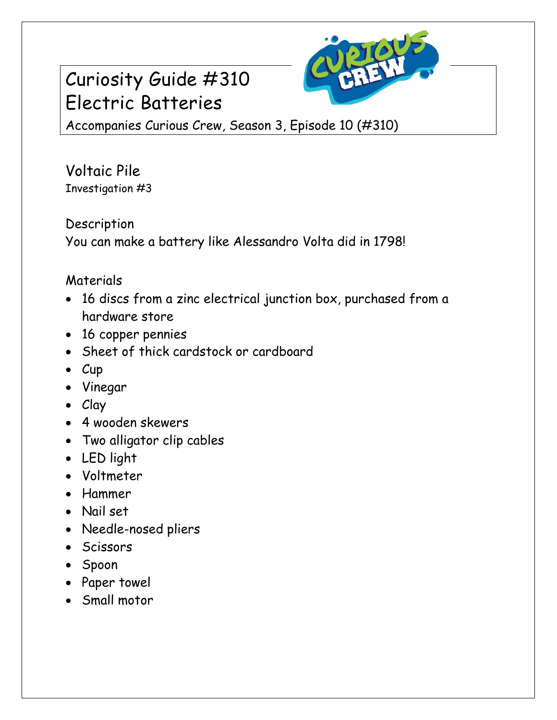## Curiosity Guide #310 Electric Batteries



Accompanies Curious Crew, Season 3, Episode 10 (#310)

Voltaic Pile Investigation #3

Description

You can make a battery like Alessandro Volta did in 1798!

## Materials

- 16 discs from a zinc electrical junction box, purchased from a hardware store
- 16 copper pennies
- Sheet of thick cardstock or cardboard
- $\bullet$  Cup
- Vinegar
- Clay
- 4 wooden skewers
- Two alligator clip cables
- LED light
- Voltmeter
- Hammer
- Nail set
- Needle-nosed pliers
- Scissors
- Spoon
- Paper towel
- Small motor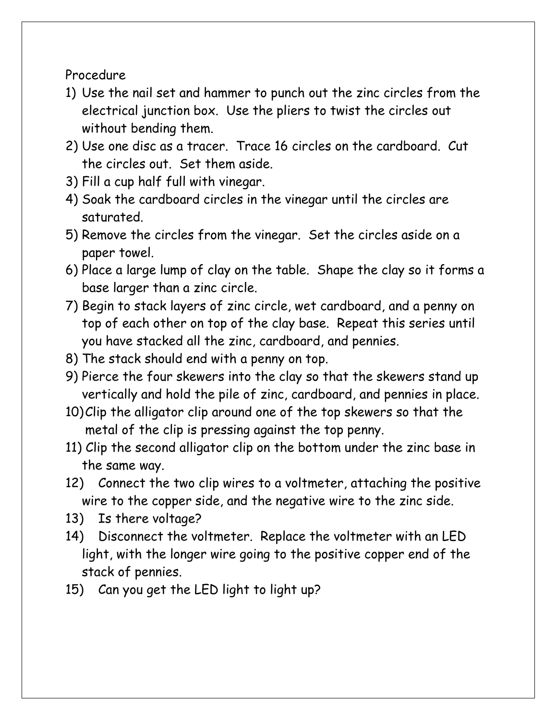Procedure

- 1) Use the nail set and hammer to punch out the zinc circles from the electrical junction box. Use the pliers to twist the circles out without bending them.
- 2) Use one disc as a tracer. Trace 16 circles on the cardboard. Cut the circles out. Set them aside.
- 3) Fill a cup half full with vinegar.
- 4) Soak the cardboard circles in the vinegar until the circles are saturated.
- 5) Remove the circles from the vinegar. Set the circles aside on a paper towel.
- 6) Place a large lump of clay on the table. Shape the clay so it forms a base larger than a zinc circle.
- 7) Begin to stack layers of zinc circle, wet cardboard, and a penny on top of each other on top of the clay base. Repeat this series until you have stacked all the zinc, cardboard, and pennies.
- 8) The stack should end with a penny on top.
- 9) Pierce the four skewers into the clay so that the skewers stand up vertically and hold the pile of zinc, cardboard, and pennies in place.
- 10)Clip the alligator clip around one of the top skewers so that the metal of the clip is pressing against the top penny.
- 11) Clip the second alligator clip on the bottom under the zinc base in the same way.
- 12) Connect the two clip wires to a voltmeter, attaching the positive wire to the copper side, and the negative wire to the zinc side.
- 13) Is there voltage?
- 14) Disconnect the voltmeter. Replace the voltmeter with an LED light, with the longer wire going to the positive copper end of the stack of pennies.
- 15) Can you get the LED light to light up?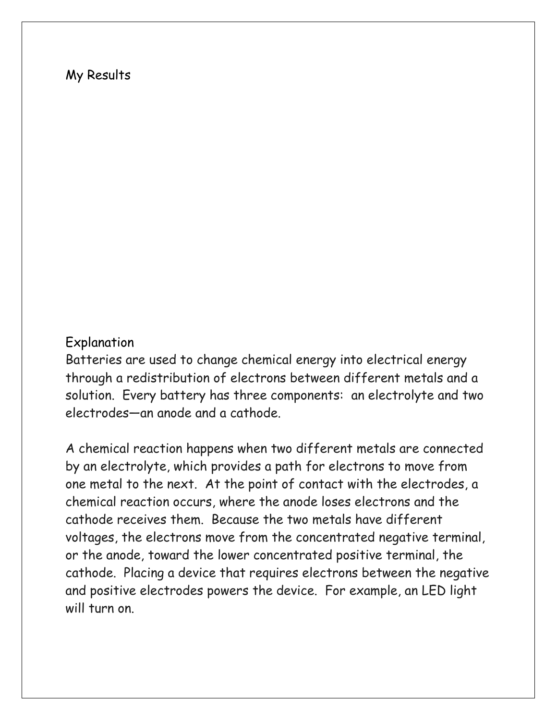## My Results

## Explanation

Batteries are used to change chemical energy into electrical energy through a redistribution of electrons between different metals and a solution. Every battery has three components: an electrolyte and two electrodes—an anode and a cathode.

A chemical reaction happens when two different metals are connected by an electrolyte, which provides a path for electrons to move from one metal to the next. At the point of contact with the electrodes, a chemical reaction occurs, where the anode loses electrons and the cathode receives them. Because the two metals have different voltages, the electrons move from the concentrated negative terminal, or the anode, toward the lower concentrated positive terminal, the cathode. Placing a device that requires electrons between the negative and positive electrodes powers the device. For example, an LED light will turn on.